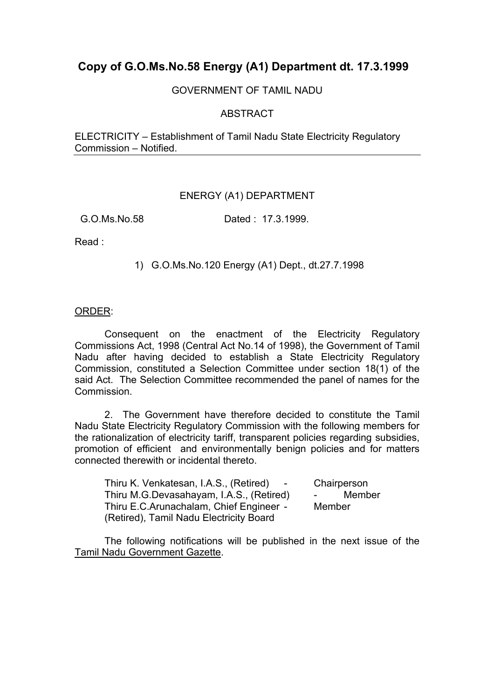# **Copy of G.O.Ms.No.58 Energy (A1) Department dt. 17.3.1999**

#### GOVERNMENT OF TAMIL NADU

### ABSTRACT

ELECTRICITY – Establishment of Tamil Nadu State Electricity Regulatory Commission – Notified.

#### ENERGY (A1) DEPARTMENT

G.O.Ms.No.58 Dated : 17.3.1999.

Read :

1) G.O.Ms.No.120 Energy (A1) Dept., dt.27.7.1998

#### ORDER:

 Consequent on the enactment of the Electricity Regulatory Commissions Act, 1998 (Central Act No.14 of 1998), the Government of Tamil Nadu after having decided to establish a State Electricity Regulatory Commission, constituted a Selection Committee under section 18(1) of the said Act. The Selection Committee recommended the panel of names for the Commission.

 2. The Government have therefore decided to constitute the Tamil Nadu State Electricity Regulatory Commission with the following members for the rationalization of electricity tariff, transparent policies regarding subsidies, promotion of efficient and environmentally benign policies and for matters connected therewith or incidental thereto.

 Thiru K. Venkatesan, I.A.S., (Retired) - Chairperson Thiru M.G.Devasahayam, I.A.S., (Retired) - Member Thiru E.C.Arunachalam, Chief Engineer - Member (Retired), Tamil Nadu Electricity Board

 The following notifications will be published in the next issue of the Tamil Nadu Government Gazette.